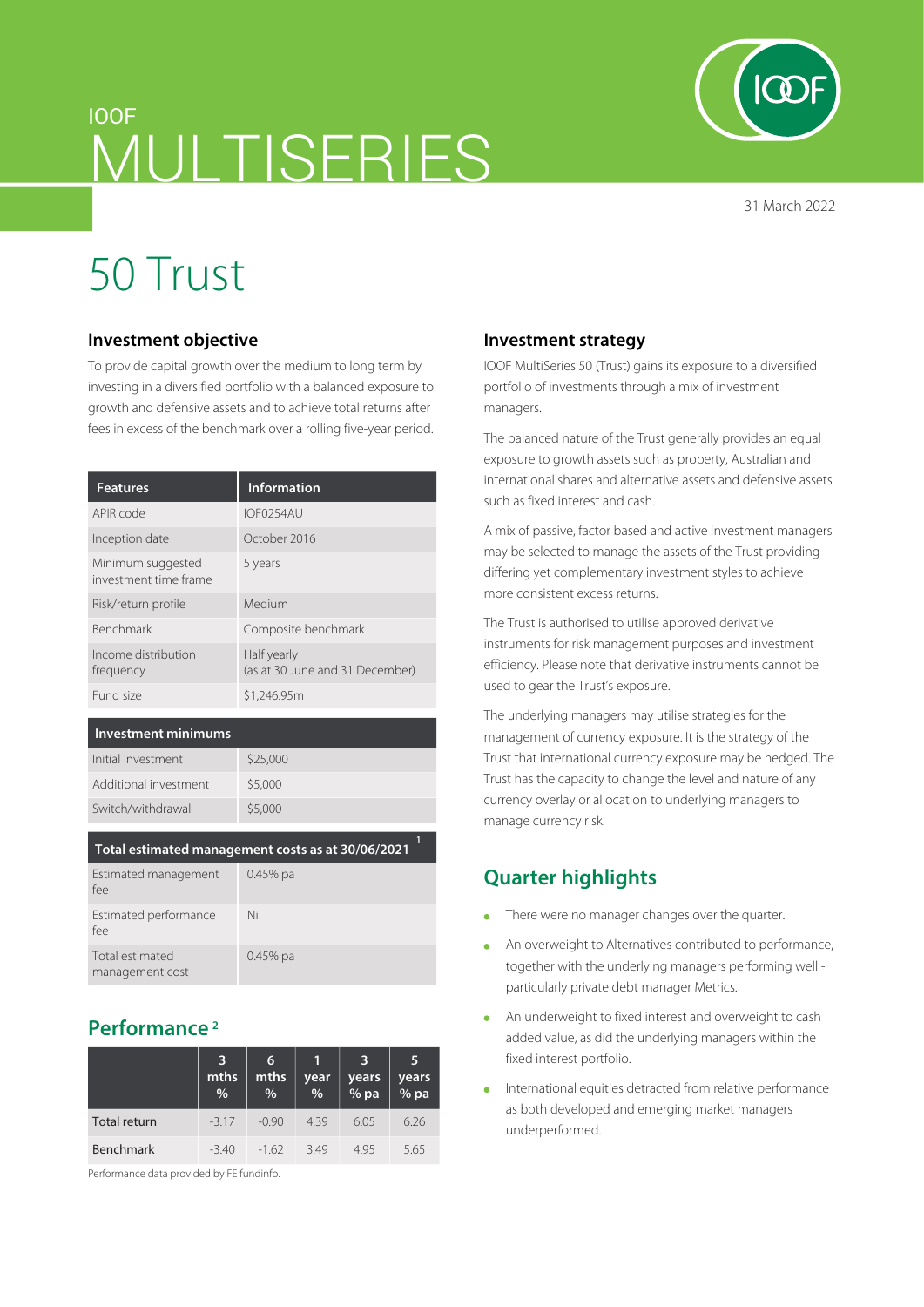# IOOF MULTISERIES

31 March 2022

# 50 Trust

#### **Investment objective**

To provide capital growth over the medium to long term by investing in a diversified portfolio with a balanced exposure to growth and defensive assets and to achieve total returns after fees in excess of the benchmark over a rolling five-year period.

| <b>Features</b>                            | <b>Information</b>                             |
|--------------------------------------------|------------------------------------------------|
| APIR code                                  | IOF0254AU                                      |
| Inception date                             | October 2016                                   |
| Minimum suggested<br>investment time frame | 5 years                                        |
| Risk/return profile                        | Medium                                         |
| <b>Benchmark</b>                           | Composite benchmark                            |
| Income distribution<br>frequency           | Half yearly<br>(as at 30 June and 31 December) |
| Fund size                                  | \$1,246.95m                                    |

#### **Investment minimums**

| Initial investment    | \$25,000 |
|-----------------------|----------|
| Additional investment | \$5,000  |
| Switch/withdrawal     | \$5,000  |
|                       |          |

| Total estimated management costs as at 30/06/2021 |  |
|---------------------------------------------------|--|
|---------------------------------------------------|--|

| Estimated management<br>fee        | $0.45\%$ pa |
|------------------------------------|-------------|
| Estimated performance<br>fee       | Nil         |
| Total estimated<br>management cost | $0.45\%$ pa |

### **Performance 2**

|                  | 3<br>mths<br>% | 6<br>mths<br>% | year<br>$\%$ | 3<br>years<br>% pa | 5<br>years<br>% pa |
|------------------|----------------|----------------|--------------|--------------------|--------------------|
| Total return     | $-3.17$        | $-0.90$        | 4.39         | 6.05               | 6.26               |
| <b>Benchmark</b> | $-3.40$        | $-162$         | 349          | 495                | 5.65               |

Performance data provided by FE fundinfo.

#### **Investment strategy**

IOOF MultiSeries 50 (Trust) gains its exposure to a diversified portfolio of investments through a mix of investment managers.

The balanced nature of the Trust generally provides an equal exposure to growth assets such as property, Australian and international shares and alternative assets and defensive assets such as fixed interest and cash.

A mix of passive, factor based and active investment managers may be selected to manage the assets of the Trust providing differing yet complementary investment styles to achieve more consistent excess returns.

The Trust is authorised to utilise approved derivative instruments for risk management purposes and investment efficiency. Please note that derivative instruments cannot be used to gear the Trust's exposure.

The underlying managers may utilise strategies for the management of currency exposure. It is the strategy of the Trust that international currency exposure may be hedged. The Trust has the capacity to change the level and nature of any currency overlay or allocation to underlying managers to manage currency risk.

# **Quarter highlights**

- There were no manager changes over the quarter.  $\Delta$
- An overweight to Alternatives contributed to performance, together with the underlying managers performing well particularly private debt manager Metrics.
- An underweight to fixed interest and overweight to cash added value, as did the underlying managers within the fixed interest portfolio.
- International equities detracted from relative performance as both developed and emerging market managers underperformed.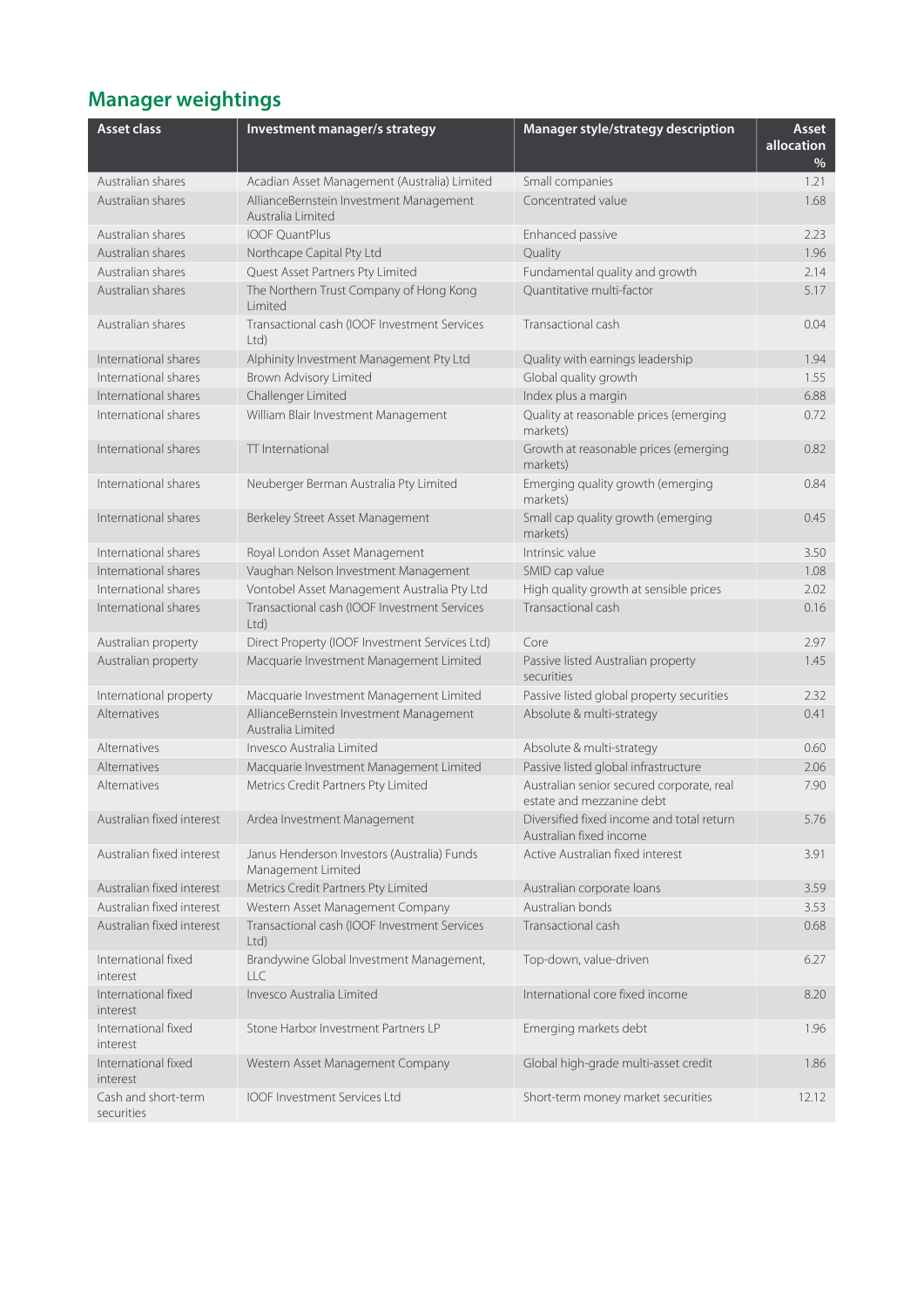# **Manager weightings**

| <b>Asset class</b>                | Investment manager/s strategy                                     | Manager style/strategy description                                     | Asset<br>allocation<br>% |
|-----------------------------------|-------------------------------------------------------------------|------------------------------------------------------------------------|--------------------------|
| Australian shares                 | Acadian Asset Management (Australia) Limited                      | Small companies                                                        | 1.21                     |
| Australian shares                 | AllianceBernstein Investment Management<br>Australia Limited      | Concentrated value                                                     | 1.68                     |
| Australian shares                 | <b>IOOF OuantPlus</b>                                             | Enhanced passive                                                       | 2.23                     |
| Australian shares                 | Northcape Capital Pty Ltd                                         | Quality                                                                | 1.96                     |
| Australian shares                 | Quest Asset Partners Pty Limited                                  | Fundamental quality and growth                                         | 2.14                     |
| Australian shares                 | The Northern Trust Company of Hong Kong<br>Limited                | Quantitative multi-factor                                              | 5.17                     |
| Australian shares                 | Transactional cash (IOOF Investment Services<br>Ltd)              | Transactional cash                                                     | 0.04                     |
| International shares              | Alphinity Investment Management Pty Ltd                           | Quality with earnings leadership                                       | 1.94                     |
| International shares              | Brown Advisory Limited                                            | Global quality growth                                                  | 1.55                     |
| International shares              | Challenger Limited                                                | Index plus a margin                                                    | 6.88                     |
| International shares              | William Blair Investment Management                               | Quality at reasonable prices (emerging<br>markets)                     | 0.72                     |
| International shares              | TT International                                                  | Growth at reasonable prices (emerging<br>markets)                      | 0.82                     |
| International shares              | Neuberger Berman Australia Pty Limited                            | Emerging quality growth (emerging<br>markets)                          | 0.84                     |
| International shares              | Berkeley Street Asset Management                                  | Small cap quality growth (emerging<br>markets)                         | 0.45                     |
| International shares              | Royal London Asset Management                                     | Intrinsic value                                                        | 3.50                     |
| International shares              | Vaughan Nelson Investment Management                              | SMID cap value                                                         | 1.08                     |
| International shares              | Vontobel Asset Management Australia Pty Ltd                       | High quality growth at sensible prices                                 | 2.02                     |
| International shares              | Transactional cash (IOOF Investment Services<br>Ltd               | Transactional cash                                                     | 0.16                     |
| Australian property               | Direct Property (IOOF Investment Services Ltd)                    | Core                                                                   | 2.97                     |
| Australian property               | Macquarie Investment Management Limited                           | Passive listed Australian property<br>securities                       | 1.45                     |
| International property            | Macquarie Investment Management Limited                           | Passive listed global property securities                              | 2.32                     |
| Alternatives                      | AllianceBernstein Investment Management<br>Australia Limited      | Absolute & multi-strategy                                              | 0.41                     |
| Alternatives                      | Invesco Australia Limited                                         | Absolute & multi-strategy                                              | 0.60                     |
| Alternatives                      | Macquarie Investment Management Limited                           | Passive listed global infrastructure                                   | 2.06                     |
| Alternatives                      | Metrics Credit Partners Pty Limited                               | Australian senior secured corporate, real<br>estate and mezzanine debt | 7.90                     |
| Australian fixed interest         | Ardea Investment Management                                       | Diversified fixed income and total return<br>Australian fixed income   | 5.76                     |
| Australian fixed interest         | Janus Henderson Investors (Australia) Funds<br>Management Limited | Active Australian fixed interest                                       | 3.91                     |
| Australian fixed interest         | Metrics Credit Partners Pty Limited                               | Australian corporate loans                                             | 3.59                     |
| Australian fixed interest         | Western Asset Management Company                                  | Australian bonds                                                       | 3.53                     |
| Australian fixed interest         | Transactional cash (IOOF Investment Services<br>Ltd               | Transactional cash                                                     | 0.68                     |
| International fixed<br>interest   | Brandywine Global Investment Management,<br>LLC                   | Top-down, value-driven                                                 | 6.27                     |
| International fixed<br>interest   | Invesco Australia Limited                                         | International core fixed income                                        | 8.20                     |
| International fixed<br>interest   | Stone Harbor Investment Partners LP                               | Emerging markets debt                                                  | 1.96                     |
| International fixed<br>interest   | Western Asset Management Company                                  | Global high-grade multi-asset credit                                   | 1.86                     |
| Cash and short-term<br>securities | <b>IOOF Investment Services Ltd</b>                               | Short-term money market securities                                     | 12.12                    |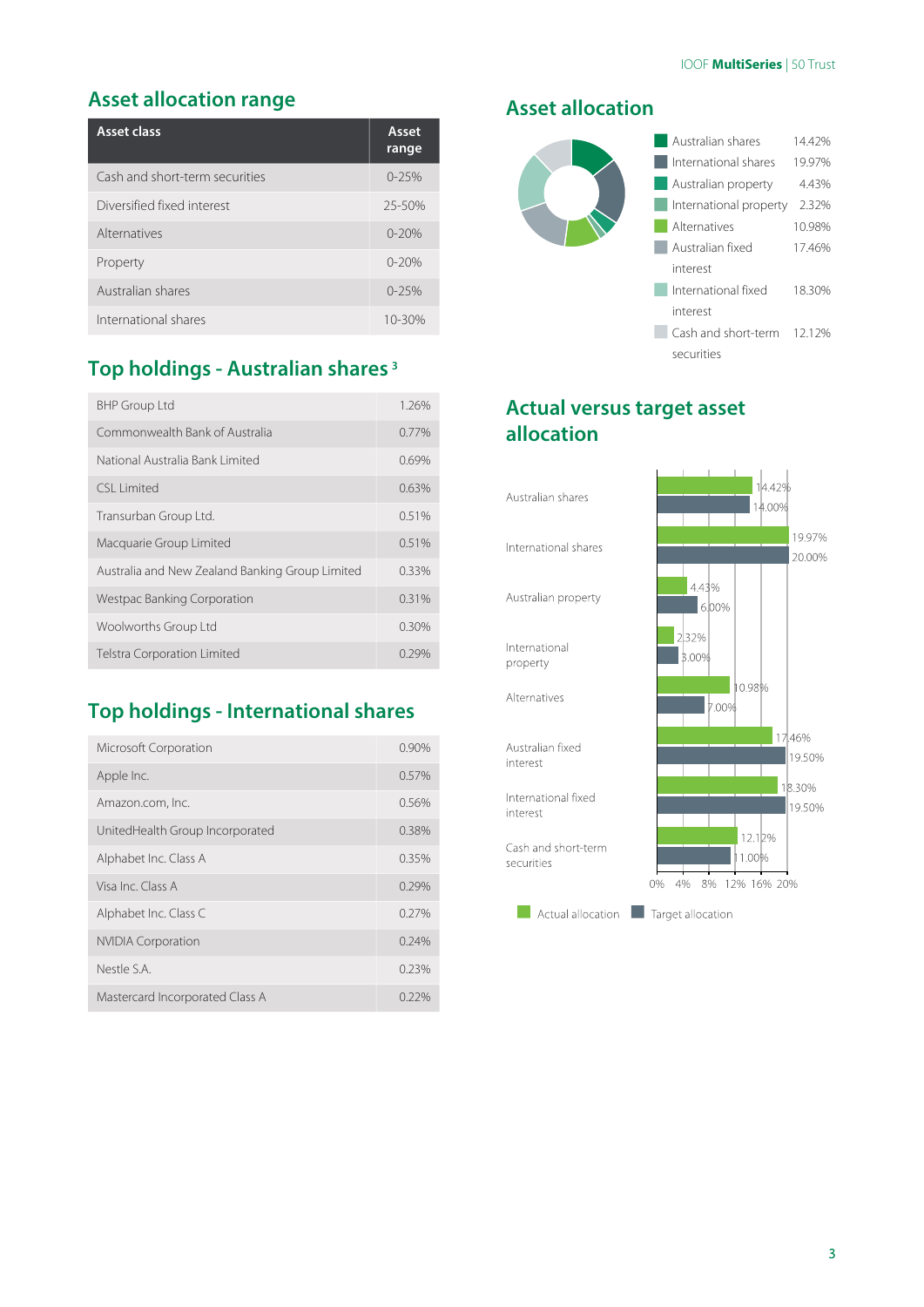### **Asset allocation range**

| Asset class                    | Asset<br>range |
|--------------------------------|----------------|
| Cash and short-term securities | $0 - 25%$      |
| Diversified fixed interest     | $25 - 50%$     |
| Alternatives                   | $0 - 20%$      |
| Property                       | $0 - 20%$      |
| Australian shares              | $0 - 25%$      |
| International shares           | 10-30%         |

# **Top holdings - Australian shares 3**

| <b>BHP Group Ltd</b>                            | 1.26%    |
|-------------------------------------------------|----------|
| Commonwealth Bank of Australia                  | 0.77%    |
| National Australia Bank Limited                 | 0.69%    |
| CSI Limited                                     | 0.63%    |
| Transurban Group Ltd.                           | 0.51%    |
| Macquarie Group Limited                         | 0.51%    |
| Australia and New Zealand Banking Group Limited | 0.33%    |
| Westpac Banking Corporation                     | 0.31%    |
| Woolworths Group Ltd                            | $0.30\%$ |
| <b>Telstra Corporation Limited</b>              | 0.29%    |

# **Top holdings - International shares**

| Microsoft Corporation           | 0.90%    |
|---------------------------------|----------|
| Apple Inc.                      | 0.57%    |
| Amazon.com, Inc.                | 0.56%    |
| UnitedHealth Group Incorporated | 0.38%    |
| Alphabet Inc. Class A           | 0.35%    |
| Visa Inc. Class A               | 0.29%    |
| Alphabet Inc. Class C           | 0.27%    |
| <b>NVIDIA Corporation</b>       | 0.24%    |
| Nestle S.A.                     | 0.23%    |
| Mastercard Incorporated Class A | $0.22\%$ |

#### **Asset allocation**



## **Actual versus target asset allocation**